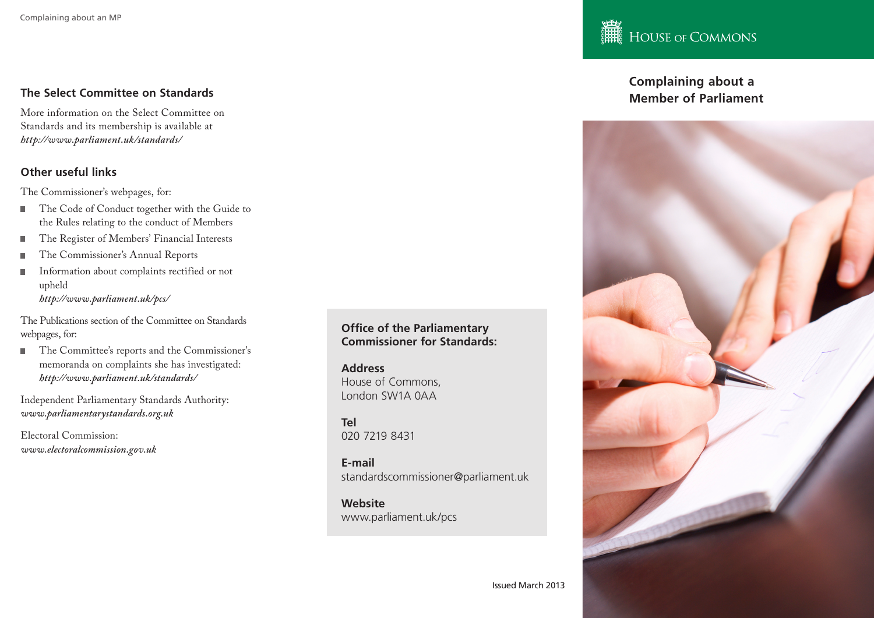### The Select Committee on Standards **The Select Committee on Standards The Select Committee on Standards The Select Committee on Standards The Select Committee on Standards The Select Committee on Standards The Sel**

More information on the Select Committee on Standards and its membership is available at *http://www.parliament.uk/standards/*

#### **Other useful links**

The Commissioner's webpages, for:

- The Code of Conduct together with the Guide to the Rules relating to the conduct of Members
- The Register of Members' Financial Interests r.
- The Commissioner's Annual Reports
- Information about complaints rectified or not п upheld *http://www.parliament.uk/pcs/*

The Publications section of the Committee on Standards webpages, for:

■ The Committee's reports and the Commissioner's memoranda on complaints she has investigated: *http://www.parliament.uk/standards/* 

Independent Parliamentary Standards Authority: *www.parliamentarystandards.org.uk*

Electoral Commission: *www.electoralcommission.gov.uk*  **Office of the Parliamentary Commissioner for Standards:**

**Address** House of Commons, London SW1A 0AA

**Tel** 020 7219 8431

**E-mail** standardscommissioner@parliament.uk

**Website** www.parliament.uk/pcs

## HOUSE OF COMMONS

# **Complaining about a**



Issued March 2013